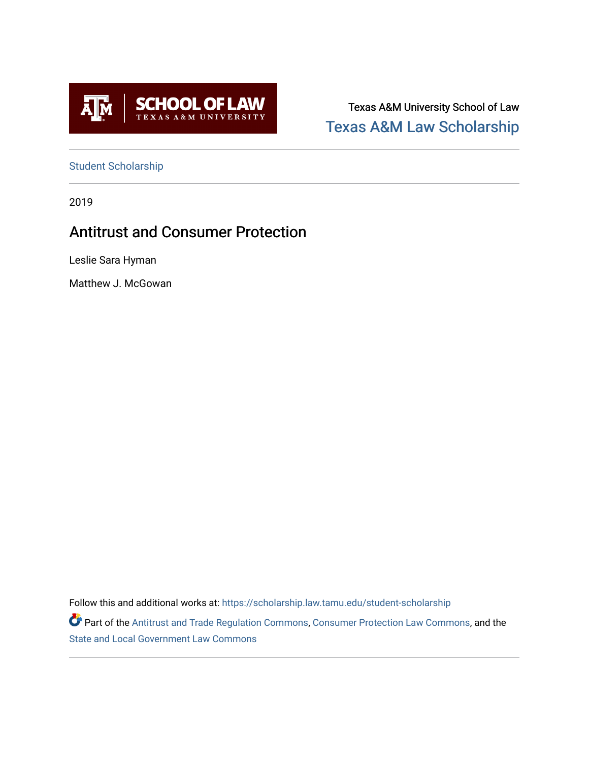

Texas A&M University School of Law [Texas A&M Law Scholarship](https://scholarship.law.tamu.edu/) 

[Student Scholarship](https://scholarship.law.tamu.edu/student-scholarship)

2019

# Antitrust and Consumer Protection

Leslie Sara Hyman

Matthew J. McGowan

Follow this and additional works at: [https://scholarship.law.tamu.edu/student-scholarship](https://scholarship.law.tamu.edu/student-scholarship?utm_source=scholarship.law.tamu.edu%2Fstudent-scholarship%2F17&utm_medium=PDF&utm_campaign=PDFCoverPages) 

Part of the [Antitrust and Trade Regulation Commons,](https://network.bepress.com/hgg/discipline/911?utm_source=scholarship.law.tamu.edu%2Fstudent-scholarship%2F17&utm_medium=PDF&utm_campaign=PDFCoverPages) [Consumer Protection Law Commons,](https://network.bepress.com/hgg/discipline/838?utm_source=scholarship.law.tamu.edu%2Fstudent-scholarship%2F17&utm_medium=PDF&utm_campaign=PDFCoverPages) and the [State and Local Government Law Commons](https://network.bepress.com/hgg/discipline/879?utm_source=scholarship.law.tamu.edu%2Fstudent-scholarship%2F17&utm_medium=PDF&utm_campaign=PDFCoverPages)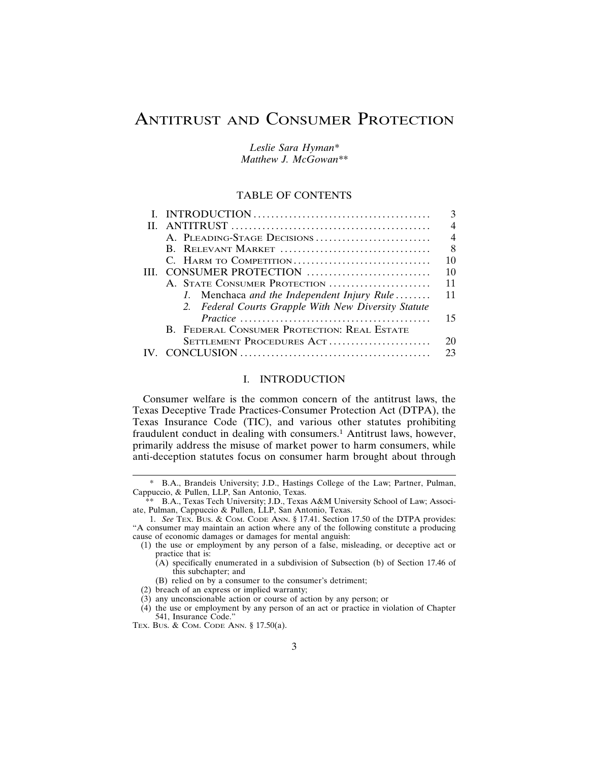# ANTITRUST AND CONSUMER PROTECTION

*Leslie Sara Hyman\* Matthew J. McGowan\*\**

# TABLE OF CONTENTS

| 4                                                    |
|------------------------------------------------------|
| $\overline{4}$<br>A. PLEADING-STAGE DECISIONS        |
| 8<br>B. RELEVANT MARKET                              |
| C. HARM TO COMPETITION<br>10                         |
| 10                                                   |
| A. STATE CONSUMER PROTECTION<br>11                   |
| 11<br>1. Menchaca and the Independent Injury Rule    |
| 2. Federal Courts Grapple With New Diversity Statute |
| 15                                                   |
| B. FEDERAL CONSUMER PROTECTION: REAL ESTATE          |
| SETTLEMENT PROCEDURES ACT<br>20                      |
|                                                      |
|                                                      |

## I. INTRODUCTION

Consumer welfare is the common concern of the antitrust laws, the Texas Deceptive Trade Practices-Consumer Protection Act (DTPA), the Texas Insurance Code (TIC), and various other statutes prohibiting fraudulent conduct in dealing with consumers.1 Antitrust laws, however, primarily address the misuse of market power to harm consumers, while anti-deception statutes focus on consumer harm brought about through

(3) any unconscionable action or course of action by any person; or

B.A., Brandeis University; J.D., Hastings College of the Law; Partner, Pulman, Cappuccio, & Pullen, LLP, San Antonio, Texas.

<sup>\*\*</sup> B.A., Texas Tech University; J.D., Texas A&M University School of Law; Associate, Pulman, Cappuccio & Pullen, LLP, San Antonio, Texas.

<sup>1.</sup> *See* TEX. BUS. & COM. CODE ANN. § 17.41. Section 17.50 of the DTPA provides: "A consumer may maintain an action where any of the following constitute a producing cause of economic damages or damages for mental anguish:

<sup>(1)</sup> the use or employment by any person of a false, misleading, or deceptive act or practice that is:

 $(A)$  specifically enumerated in a subdivision of Subsection (b) of Section 17.46 of this subchapter; and

<sup>(</sup>B) relied on by a consumer to the consumer's detriment;

<sup>(2)</sup> breach of an express or implied warranty;

<sup>(4)</sup> the use or employment by any person of an act or practice in violation of Chapter 541, Insurance Code."

TEX. BUS. & COM. CODE ANN. § 17.50(a).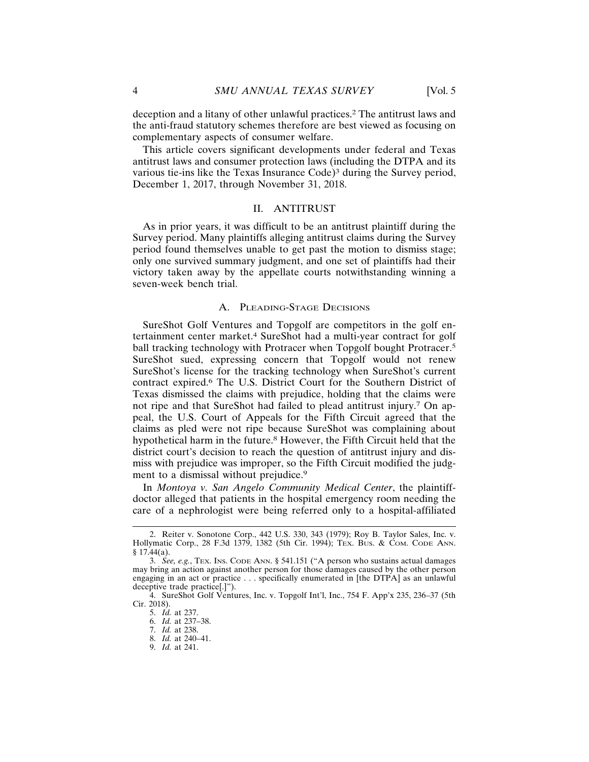deception and a litany of other unlawful practices.2 The antitrust laws and the anti-fraud statutory schemes therefore are best viewed as focusing on complementary aspects of consumer welfare.

This article covers significant developments under federal and Texas antitrust laws and consumer protection laws (including the DTPA and its various tie-ins like the Texas Insurance Code)<sup>3</sup> during the Survey period, December 1, 2017, through November 31, 2018.

### II. ANTITRUST

As in prior years, it was difficult to be an antitrust plaintiff during the Survey period. Many plaintiffs alleging antitrust claims during the Survey period found themselves unable to get past the motion to dismiss stage; only one survived summary judgment, and one set of plaintiffs had their victory taken away by the appellate courts notwithstanding winning a seven-week bench trial.

## A. PLEADING-STAGE DECISIONS

SureShot Golf Ventures and Topgolf are competitors in the golf entertainment center market.4 SureShot had a multi-year contract for golf ball tracking technology with Protracer when Topgolf bought Protracer.<sup>5</sup> SureShot sued, expressing concern that Topgolf would not renew SureShot's license for the tracking technology when SureShot's current contract expired.6 The U.S. District Court for the Southern District of Texas dismissed the claims with prejudice, holding that the claims were not ripe and that SureShot had failed to plead antitrust injury.7 On appeal, the U.S. Court of Appeals for the Fifth Circuit agreed that the claims as pled were not ripe because SureShot was complaining about hypothetical harm in the future.8 However, the Fifth Circuit held that the district court's decision to reach the question of antitrust injury and dismiss with prejudice was improper, so the Fifth Circuit modified the judgment to a dismissal without prejudice.<sup>9</sup>

In *Montoya v. San Angelo Community Medical Center*, the plaintiffdoctor alleged that patients in the hospital emergency room needing the care of a nephrologist were being referred only to a hospital-affiliated

<sup>2.</sup> Reiter v. Sonotone Corp., 442 U.S. 330, 343 (1979); Roy B. Taylor Sales, Inc. v. Hollymatic Corp., 28 F.3d 1379, 1382 (5th Cir. 1994); TEX. BUS. & COM. CODE ANN.  $§ 17.44(a).$ 

<sup>3.</sup> *See, e.g.*, TEX. INS. CODE ANN. § 541.151 ("A person who sustains actual damages may bring an action against another person for those damages caused by the other person engaging in an act or practice . . . specifically enumerated in [the DTPA] as an unlawful deceptive trade practice[.]").

<sup>4.</sup> SureShot Golf Ventures, Inc. v. Topgolf Int'l, Inc., 754 F. App'x 235, 236–37 (5th Cir. 2018).

<sup>5.</sup> *Id.* at 237.

<sup>6.</sup> *Id.* at 237–38.

<sup>7.</sup> *Id.* at 238. 8. *Id.* at 240–41.

<sup>9.</sup> *Id.* at 241.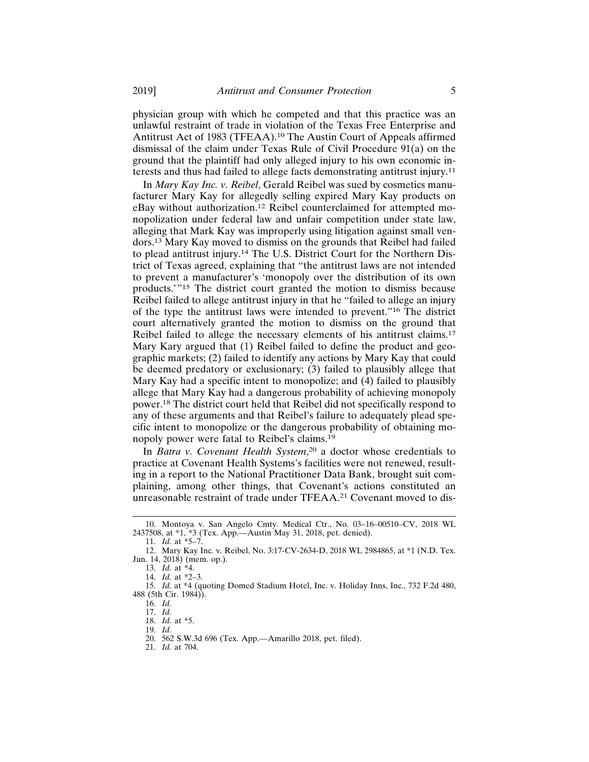physician group with which he competed and that this practice was an unlawful restraint of trade in violation of the Texas Free Enterprise and Antitrust Act of 1983 (TFEAA).<sup>10</sup> The Austin Court of Appeals affirmed dismissal of the claim under Texas Rule of Civil Procedure 91(a) on the ground that the plaintiff had only alleged injury to his own economic interests and thus had failed to allege facts demonstrating antitrust injury.11

In *Mary Kay Inc. v. Reibel*, Gerald Reibel was sued by cosmetics manufacturer Mary Kay for allegedly selling expired Mary Kay products on eBay without authorization.12 Reibel counterclaimed for attempted monopolization under federal law and unfair competition under state law, alleging that Mark Kay was improperly using litigation against small vendors.13 Mary Kay moved to dismiss on the grounds that Reibel had failed to plead antitrust injury.14 The U.S. District Court for the Northern District of Texas agreed, explaining that "the antitrust laws are not intended to prevent a manufacturer's 'monopoly over the distribution of its own products.'"15 The district court granted the motion to dismiss because Reibel failed to allege antitrust injury in that he "failed to allege an injury of the type the antitrust laws were intended to prevent."16 The district court alternatively granted the motion to dismiss on the ground that Reibel failed to allege the necessary elements of his antitrust claims.17 Mary Kary argued that (1) Reibel failed to define the product and geographic markets; (2) failed to identify any actions by Mary Kay that could be deemed predatory or exclusionary; (3) failed to plausibly allege that Mary Kay had a specific intent to monopolize; and (4) failed to plausibly allege that Mary Kay had a dangerous probability of achieving monopoly power.18 The district court held that Reibel did not specifically respond to any of these arguments and that Reibel's failure to adequately plead specific intent to monopolize or the dangerous probability of obtaining monopoly power were fatal to Reibel's claims.19

In *Batra v. Covenant Health System*, 20 a doctor whose credentials to practice at Covenant Health Systems's facilities were not renewed, resulting in a report to the National Practitioner Data Bank, brought suit complaining, among other things, that Covenant's actions constituted an unreasonable restraint of trade under TFEAA.21 Covenant moved to dis-

15. *Id.* at \*4 (quoting Domed Stadium Hotel, Inc. v. Holiday Inns, Inc., 732 F.2d 480, 488 (5th Cir. 1984)).

<sup>10.</sup> Montoya v. San Angelo Cmty. Medical Ctr., No. 03–16–00510–CV, 2018 WL 2437508, at \*1, \*3 (Tex. App.—Austin May 31, 2018, pet. denied).

<sup>11.</sup> *Id.* at \*5–7.

<sup>12.</sup> Mary Kay Inc. v. Reibel, No. 3:17-CV-2634-D, 2018 WL 2984865, at \*1 (N.D. Tex. Jun. 14, 2018) (mem. op.).

<sup>13.</sup> *Id.* at \*4. 14. *Id.* at \*2–3.

<sup>16.</sup> *Id.*

<sup>17.</sup> *Id.*

<sup>18.</sup> *Id.* at \*5.

<sup>19.</sup> *Id.*

<sup>20. 562</sup> S.W.3d 696 (Tex. App.—Amarillo 2018, pet. filed).

<sup>21.</sup> *Id.* at 704.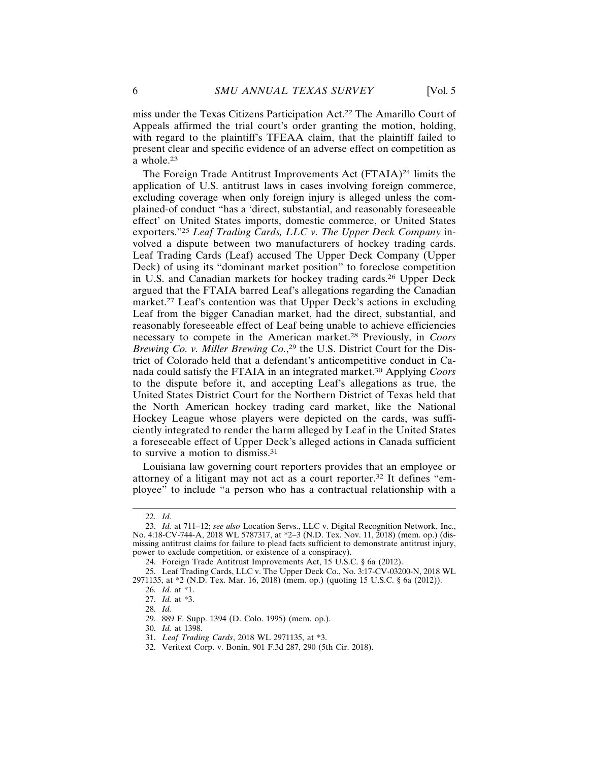miss under the Texas Citizens Participation Act.22 The Amarillo Court of Appeals affirmed the trial court's order granting the motion, holding, with regard to the plaintiff's TFEAA claim, that the plaintiff failed to present clear and specific evidence of an adverse effect on competition as a whole.23

The Foreign Trade Antitrust Improvements Act (FTAIA)<sup>24</sup> limits the application of U.S. antitrust laws in cases involving foreign commerce, excluding coverage when only foreign injury is alleged unless the complained-of conduct "has a 'direct, substantial, and reasonably foreseeable effect' on United States imports, domestic commerce, or United States exporters."<sup>25</sup> *Leaf Trading Cards, LLC v. The Upper Deck Company* involved a dispute between two manufacturers of hockey trading cards. Leaf Trading Cards (Leaf) accused The Upper Deck Company (Upper Deck) of using its "dominant market position" to foreclose competition in U.S. and Canadian markets for hockey trading cards.26 Upper Deck argued that the FTAIA barred Leaf's allegations regarding the Canadian market.<sup>27</sup> Leaf's contention was that Upper Deck's actions in excluding Leaf from the bigger Canadian market, had the direct, substantial, and reasonably foreseeable effect of Leaf being unable to achieve efficiencies necessary to compete in the American market.28 Previously, in *Coors Brewing Co. v. Miller Brewing Co.*, 29 the U.S. District Court for the District of Colorado held that a defendant's anticompetitive conduct in Canada could satisfy the FTAIA in an integrated market.30 Applying *Coors* to the dispute before it, and accepting Leaf's allegations as true, the United States District Court for the Northern District of Texas held that the North American hockey trading card market, like the National Hockey League whose players were depicted on the cards, was sufficiently integrated to render the harm alleged by Leaf in the United States a foreseeable effect of Upper Deck's alleged actions in Canada sufficient to survive a motion to dismiss.31

Louisiana law governing court reporters provides that an employee or attorney of a litigant may not act as a court reporter.32 It defines "employee" to include "a person who has a contractual relationship with a

<sup>22.</sup> *Id.*

<sup>23.</sup> *Id.* at 711–12; *see also* Location Servs., LLC v. Digital Recognition Network, Inc., No. 4:18-CV-744-A, 2018 WL 5787317, at \*2–3 (N.D. Tex. Nov. 11, 2018) (mem. op.) (dismissing antitrust claims for failure to plead facts sufficient to demonstrate antitrust injury, power to exclude competition, or existence of a conspiracy).

<sup>24.</sup> Foreign Trade Antitrust Improvements Act, 15 U.S.C. § 6a (2012).

<sup>25.</sup> Leaf Trading Cards, LLC v. The Upper Deck Co., No. 3:17-CV-03200-N, 2018 WL 2971135, at \*2 (N.D. Tex. Mar. 16, 2018) (mem. op.) (quoting 15 U.S.C. § 6a (2012)).

<sup>26.</sup> *Id.* at \*1.

<sup>27.</sup> *Id.* at \*3.

<sup>28.</sup> *Id.*

<sup>29. 889</sup> F. Supp. 1394 (D. Colo. 1995) (mem. op.).

<sup>30.</sup> *Id.* at 1398.

<sup>31.</sup> *Leaf Trading Cards*, 2018 WL 2971135, at \*3.

<sup>32.</sup> Veritext Corp. v. Bonin, 901 F.3d 287, 290 (5th Cir. 2018).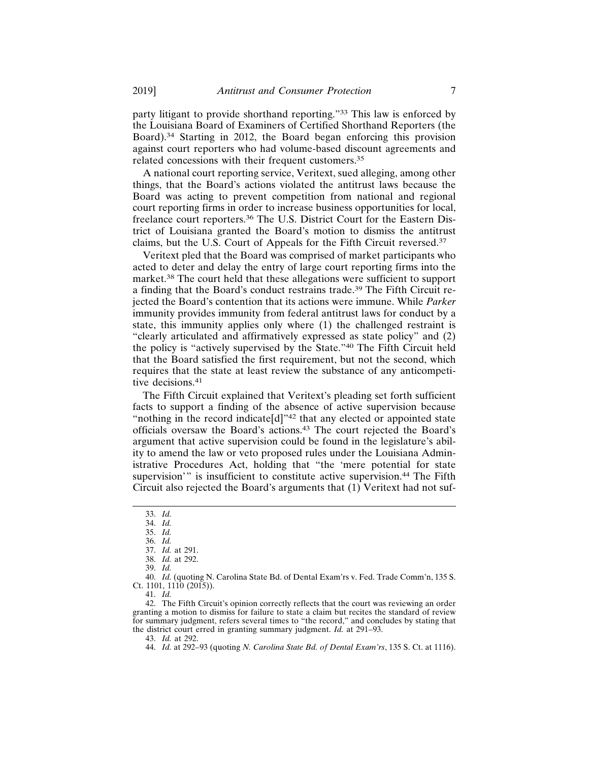party litigant to provide shorthand reporting."33 This law is enforced by the Louisiana Board of Examiners of Certified Shorthand Reporters (the Board).34 Starting in 2012, the Board began enforcing this provision against court reporters who had volume-based discount agreements and related concessions with their frequent customers.35

A national court reporting service, Veritext, sued alleging, among other things, that the Board's actions violated the antitrust laws because the Board was acting to prevent competition from national and regional court reporting firms in order to increase business opportunities for local, freelance court reporters.36 The U.S. District Court for the Eastern District of Louisiana granted the Board's motion to dismiss the antitrust claims, but the U.S. Court of Appeals for the Fifth Circuit reversed.<sup>37</sup>

Veritext pled that the Board was comprised of market participants who acted to deter and delay the entry of large court reporting firms into the market.38 The court held that these allegations were sufficient to support a finding that the Board's conduct restrains trade.39 The Fifth Circuit rejected the Board's contention that its actions were immune. While *Parker* immunity provides immunity from federal antitrust laws for conduct by a state, this immunity applies only where (1) the challenged restraint is "clearly articulated and affirmatively expressed as state policy" and (2) the policy is "actively supervised by the State."40 The Fifth Circuit held that the Board satisfied the first requirement, but not the second, which requires that the state at least review the substance of any anticompetitive decisions.<sup>41</sup>

The Fifth Circuit explained that Veritext's pleading set forth sufficient facts to support a finding of the absence of active supervision because "nothing in the record indicate<sup>[d]"42</sup> that any elected or appointed state officials oversaw the Board's actions.43 The court rejected the Board's argument that active supervision could be found in the legislature's ability to amend the law or veto proposed rules under the Louisiana Administrative Procedures Act, holding that "the 'mere potential for state supervision'" is insufficient to constitute active supervision.<sup>44</sup> The Fifth Circuit also rejected the Board's arguments that (1) Veritext had not suf-

41. *Id.*

42. The Fifth Circuit's opinion correctly reflects that the court was reviewing an order granting a motion to dismiss for failure to state a claim but recites the standard of review for summary judgment, refers several times to "the record," and concludes by stating that the district court erred in granting summary judgment. *Id.* at 291–93.

43. *Id.* at 292.

<sup>33.</sup> *Id.*

<sup>34.</sup> *Id.* 35. *Id.*

<sup>36.</sup> *Id.*

<sup>37.</sup> *Id.* at 291.

<sup>38.</sup> *Id.* at 292. 39. *Id.*

<sup>40.</sup> *Id.* (quoting N. Carolina State Bd. of Dental Exam'rs v. Fed. Trade Comm'n, 135 S. Ct. 1101, 1110 (2015)).

<sup>44.</sup> *Id.* at 292–93 (quoting *N. Carolina State Bd. of Dental Exam'rs*, 135 S. Ct. at 1116).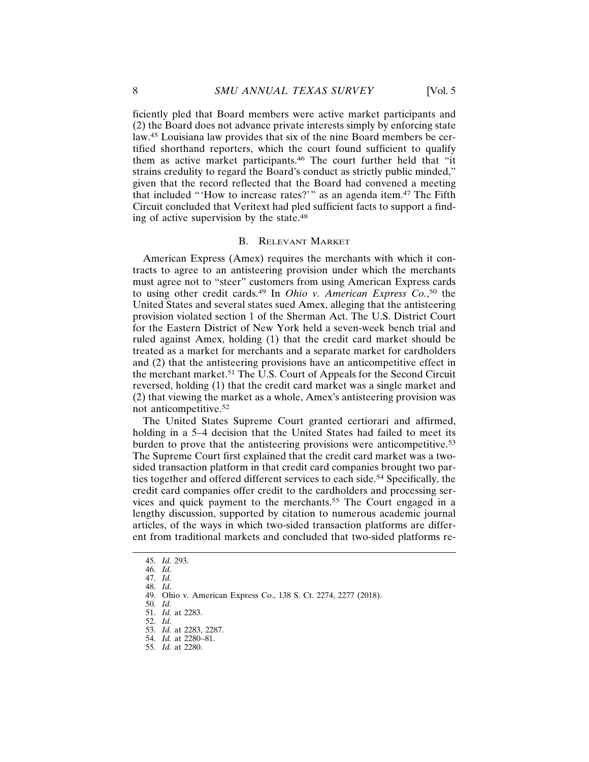ficiently pled that Board members were active market participants and (2) the Board does not advance private interests simply by enforcing state law.45 Louisiana law provides that six of the nine Board members be certified shorthand reporters, which the court found sufficient to qualify them as active market participants.46 The court further held that "it strains credulity to regard the Board's conduct as strictly public minded," given that the record reflected that the Board had convened a meeting that included "'How to increase rates?'" as an agenda item.47 The Fifth Circuit concluded that Veritext had pled sufficient facts to support a finding of active supervision by the state.48

#### B. RELEVANT MARKET

American Express (Amex) requires the merchants with which it contracts to agree to an antisteering provision under which the merchants must agree not to "steer" customers from using American Express cards to using other credit cards.49 In *Ohio v. American Express Co.*, 50 the United States and several states sued Amex, alleging that the antisteering provision violated section 1 of the Sherman Act. The U.S. District Court for the Eastern District of New York held a seven-week bench trial and ruled against Amex, holding (1) that the credit card market should be treated as a market for merchants and a separate market for cardholders and (2) that the antisteering provisions have an anticompetitive effect in the merchant market.51 The U.S. Court of Appeals for the Second Circuit reversed, holding (1) that the credit card market was a single market and (2) that viewing the market as a whole, Amex's antisteering provision was not anticompetitive.52

The United States Supreme Court granted certiorari and affirmed, holding in a 5–4 decision that the United States had failed to meet its burden to prove that the antisteering provisions were anticompetitive.<sup>53</sup> The Supreme Court first explained that the credit card market was a twosided transaction platform in that credit card companies brought two parties together and offered different services to each side.54 Specifically, the credit card companies offer credit to the cardholders and processing services and quick payment to the merchants.<sup>55</sup> The Court engaged in a lengthy discussion, supported by citation to numerous academic journal articles, of the ways in which two-sided transaction platforms are different from traditional markets and concluded that two-sided platforms re-

<sup>45.</sup> *Id.* 293.

<sup>46.</sup> *Id.*

<sup>47.</sup> *Id.*

<sup>48.</sup> *Id.*

<sup>49.</sup> Ohio v. American Express Co., 138 S. Ct. 2274, 2277 (2018).

<sup>50.</sup> *Id.* 51. *Id.* at 2283.

<sup>52.</sup> *Id.*

<sup>53.</sup> *Id.* at 2283, 2287.

<sup>54.</sup> *Id.* at 2280–81.

<sup>55.</sup> *Id.* at 2280.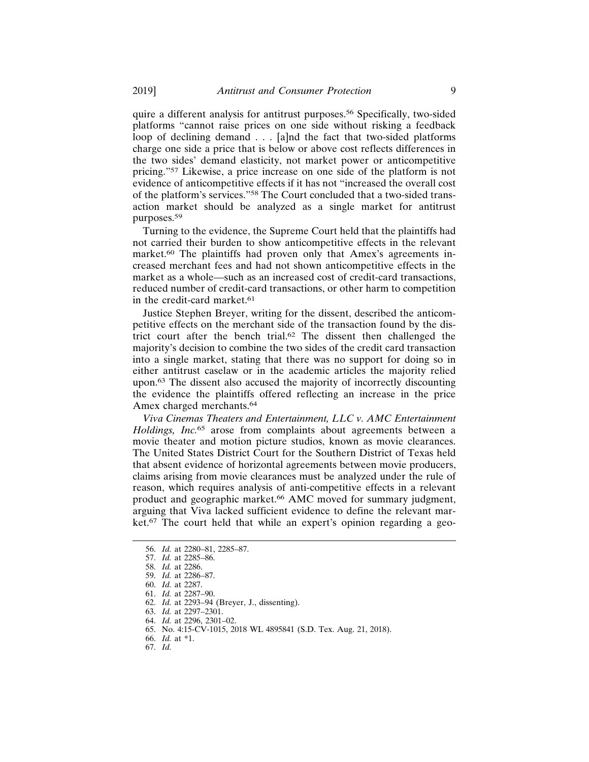quire a different analysis for antitrust purposes.56 Specifically, two-sided platforms "cannot raise prices on one side without risking a feedback loop of declining demand . . . [a]nd the fact that two-sided platforms charge one side a price that is below or above cost reflects differences in the two sides' demand elasticity, not market power or anticompetitive pricing."57 Likewise, a price increase on one side of the platform is not evidence of anticompetitive effects if it has not "increased the overall cost of the platform's services."58 The Court concluded that a two-sided transaction market should be analyzed as a single market for antitrust purposes.<sup>59</sup>

Turning to the evidence, the Supreme Court held that the plaintiffs had not carried their burden to show anticompetitive effects in the relevant market.<sup>60</sup> The plaintiffs had proven only that Amex's agreements increased merchant fees and had not shown anticompetitive effects in the market as a whole—such as an increased cost of credit-card transactions, reduced number of credit-card transactions, or other harm to competition in the credit-card market.<sup>61</sup>

Justice Stephen Breyer, writing for the dissent, described the anticompetitive effects on the merchant side of the transaction found by the district court after the bench trial.62 The dissent then challenged the majority's decision to combine the two sides of the credit card transaction into a single market, stating that there was no support for doing so in either antitrust caselaw or in the academic articles the majority relied upon.63 The dissent also accused the majority of incorrectly discounting the evidence the plaintiffs offered reflecting an increase in the price Amex charged merchants.<sup>64</sup>

*Viva Cinemas Theaters and Entertainment, LLC v. AMC Entertainment Holdings, Inc.*65 arose from complaints about agreements between a movie theater and motion picture studios, known as movie clearances. The United States District Court for the Southern District of Texas held that absent evidence of horizontal agreements between movie producers, claims arising from movie clearances must be analyzed under the rule of reason, which requires analysis of anti-competitive effects in a relevant product and geographic market.66 AMC moved for summary judgment, arguing that Viva lacked sufficient evidence to define the relevant market.67 The court held that while an expert's opinion regarding a geo-

<sup>56.</sup> *Id.* at 2280–81, 2285–87.

<sup>57.</sup> *Id.* at 2285–86.

<sup>58.</sup> *Id.* at 2286.

<sup>59.</sup> *Id.* at 2286–87.

<sup>60.</sup> *Id.* at 2287.

<sup>61.</sup> *Id.* at 2287–90.

<sup>62.</sup> *Id.* at 2293–94 (Breyer, J., dissenting).

<sup>63.</sup> *Id.* at 2297–2301.

<sup>64.</sup> *Id.* at 2296, 2301–02.

<sup>65.</sup> No. 4:15-CV-1015, 2018 WL 4895841 (S.D. Tex. Aug. 21, 2018).

<sup>66.</sup> *Id.* at \*1.

<sup>67.</sup> *Id.*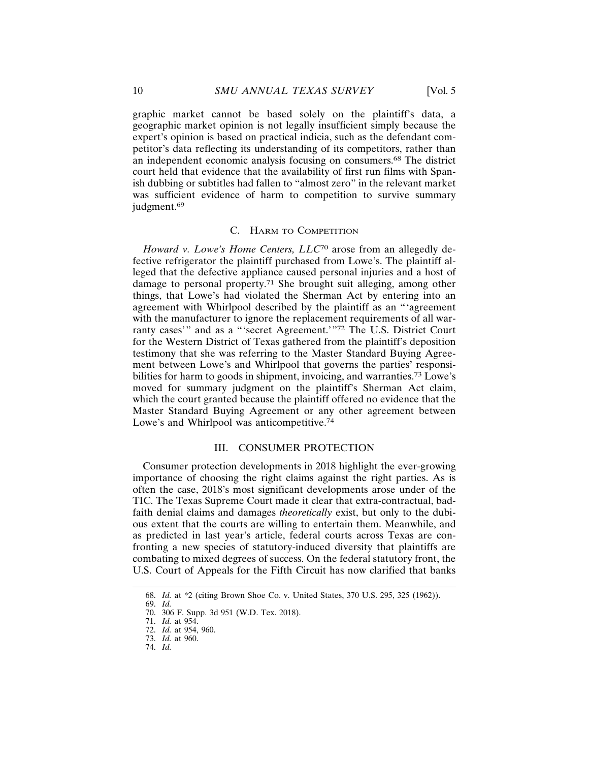graphic market cannot be based solely on the plaintiff's data, a geographic market opinion is not legally insufficient simply because the expert's opinion is based on practical indicia, such as the defendant competitor's data reflecting its understanding of its competitors, rather than an independent economic analysis focusing on consumers.68 The district court held that evidence that the availability of first run films with Spanish dubbing or subtitles had fallen to "almost zero" in the relevant market was sufficient evidence of harm to competition to survive summary judgment.<sup>69</sup>

#### C. HARM TO COMPETITION

*Howard v. Lowe's Home Centers, LLC*70 arose from an allegedly defective refrigerator the plaintiff purchased from Lowe's. The plaintiff alleged that the defective appliance caused personal injuries and a host of damage to personal property.71 She brought suit alleging, among other things, that Lowe's had violated the Sherman Act by entering into an agreement with Whirlpool described by the plaintiff as an "'agreement with the manufacturer to ignore the replacement requirements of all warranty cases'" and as a "'secret Agreement.'"72 The U.S. District Court for the Western District of Texas gathered from the plaintiff's deposition testimony that she was referring to the Master Standard Buying Agreement between Lowe's and Whirlpool that governs the parties' responsibilities for harm to goods in shipment, invoicing, and warranties.<sup>73</sup> Lowe's moved for summary judgment on the plaintiff's Sherman Act claim, which the court granted because the plaintiff offered no evidence that the Master Standard Buying Agreement or any other agreement between Lowe's and Whirlpool was anticompetitive.<sup>74</sup>

# III. CONSUMER PROTECTION

Consumer protection developments in 2018 highlight the ever-growing importance of choosing the right claims against the right parties. As is often the case, 2018's most significant developments arose under of the TIC. The Texas Supreme Court made it clear that extra-contractual, badfaith denial claims and damages *theoretically* exist, but only to the dubious extent that the courts are willing to entertain them. Meanwhile, and as predicted in last year's article, federal courts across Texas are confronting a new species of statutory-induced diversity that plaintiffs are combating to mixed degrees of success. On the federal statutory front, the U.S. Court of Appeals for the Fifth Circuit has now clarified that banks

<sup>68.</sup> *Id.* at \*2 (citing Brown Shoe Co. v. United States, 370 U.S. 295, 325 (1962)).

<sup>69.</sup> *Id.*

<sup>70. 306</sup> F. Supp. 3d 951 (W.D. Tex. 2018).

<sup>71.</sup> *Id.* at 954.

<sup>72.</sup> *Id.* at 954, 960. 73. *Id.* at 960.

<sup>74.</sup> *Id.*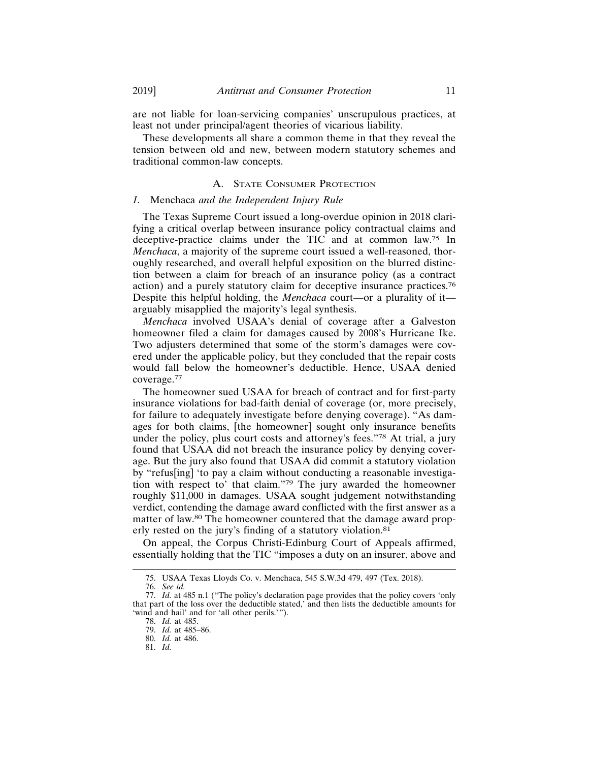are not liable for loan-servicing companies' unscrupulous practices, at least not under principal/agent theories of vicarious liability.

These developments all share a common theme in that they reveal the tension between old and new, between modern statutory schemes and traditional common-law concepts.

# A. STATE CONSUMER PROTECTION

## *1.* Menchaca *and the Independent Injury Rule*

The Texas Supreme Court issued a long-overdue opinion in 2018 clarifying a critical overlap between insurance policy contractual claims and deceptive-practice claims under the TIC and at common law.75 In *Menchaca*, a majority of the supreme court issued a well-reasoned, thoroughly researched, and overall helpful exposition on the blurred distinction between a claim for breach of an insurance policy (as a contract action) and a purely statutory claim for deceptive insurance practices.76 Despite this helpful holding, the *Menchaca* court—or a plurality of it arguably misapplied the majority's legal synthesis.

*Menchaca* involved USAA's denial of coverage after a Galveston homeowner filed a claim for damages caused by 2008's Hurricane Ike. Two adjusters determined that some of the storm's damages were covered under the applicable policy, but they concluded that the repair costs would fall below the homeowner's deductible. Hence, USAA denied coverage.77

The homeowner sued USAA for breach of contract and for first-party insurance violations for bad-faith denial of coverage (or, more precisely, for failure to adequately investigate before denying coverage). "As damages for both claims, [the homeowner] sought only insurance benefits under the policy, plus court costs and attorney's fees."78 At trial, a jury found that USAA did not breach the insurance policy by denying coverage. But the jury also found that USAA did commit a statutory violation by "refus[ing] 'to pay a claim without conducting a reasonable investigation with respect to' that claim."79 The jury awarded the homeowner roughly \$11,000 in damages. USAA sought judgement notwithstanding verdict, contending the damage award conflicted with the first answer as a matter of law.80 The homeowner countered that the damage award properly rested on the jury's finding of a statutory violation.81

On appeal, the Corpus Christi-Edinburg Court of Appeals affirmed, essentially holding that the TIC "imposes a duty on an insurer, above and

<sup>75.</sup> USAA Texas Lloyds Co. v. Menchaca, 545 S.W.3d 479, 497 (Tex. 2018).

<sup>76.</sup> *See id.*

<sup>77.</sup> *Id.* at 485 n.1 ("The policy's declaration page provides that the policy covers 'only that part of the loss over the deductible stated,' and then lists the deductible amounts for 'wind and hail' and for 'all other perils.'").

<sup>78.</sup> *Id.* at 485.

<sup>79.</sup> *Id.* at 485–86.

<sup>80.</sup> *Id.* at 486.

<sup>81.</sup> *Id.*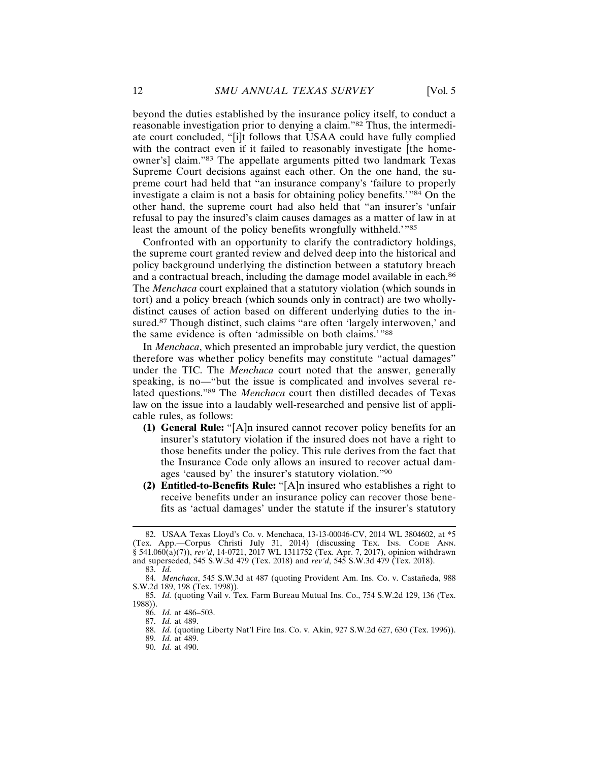beyond the duties established by the insurance policy itself, to conduct a reasonable investigation prior to denying a claim."82 Thus, the intermediate court concluded, "[i]t follows that USAA could have fully complied with the contract even if it failed to reasonably investigate [the homeowner's] claim."83 The appellate arguments pitted two landmark Texas Supreme Court decisions against each other. On the one hand, the supreme court had held that "an insurance company's 'failure to properly investigate a claim is not a basis for obtaining policy benefits.'"84 On the other hand, the supreme court had also held that "an insurer's 'unfair refusal to pay the insured's claim causes damages as a matter of law in at least the amount of the policy benefits wrongfully withheld.'"85

Confronted with an opportunity to clarify the contradictory holdings, the supreme court granted review and delved deep into the historical and policy background underlying the distinction between a statutory breach and a contractual breach, including the damage model available in each.<sup>86</sup> The *Menchaca* court explained that a statutory violation (which sounds in tort) and a policy breach (which sounds only in contract) are two whollydistinct causes of action based on different underlying duties to the insured.<sup>87</sup> Though distinct, such claims "are often 'largely interwoven,' and the same evidence is often 'admissible on both claims.'"88

In *Menchaca*, which presented an improbable jury verdict, the question therefore was whether policy benefits may constitute "actual damages" under the TIC. The *Menchaca* court noted that the answer, generally speaking, is no—"but the issue is complicated and involves several related questions."89 The *Menchaca* court then distilled decades of Texas law on the issue into a laudably well-researched and pensive list of applicable rules, as follows:

- **(1) General Rule:** "[A]n insured cannot recover policy benefits for an insurer's statutory violation if the insured does not have a right to those benefits under the policy. This rule derives from the fact that the Insurance Code only allows an insured to recover actual damages 'caused by' the insurer's statutory violation."90
- **(2) Entitled-to-Benefits Rule:** "[A]n insured who establishes a right to receive benefits under an insurance policy can recover those benefits as 'actual damages' under the statute if the insurer's statutory

<sup>82.</sup> USAA Texas Lloyd's Co. v. Menchaca, 13-13-00046-CV, 2014 WL 3804602, at \*5 (Tex. App.—Corpus Christi July 31, 2014) (discussing TEX. INS. CODE ANN. § 541.060(a)(7)), *rev'd*, 14-0721, 2017 WL 1311752 (Tex. Apr. 7, 2017), opinion withdrawn and superseded, 545 S.W.3d 479 (Tex. 2018) and *rev'd*, 545 S.W.3d 479 (Tex. 2018).

<sup>83.</sup> *Id.*

<sup>84.</sup> *Menchaca*, 545 S.W.3d at 487 (quoting Provident Am. Ins. Co. v. Castañeda, 988 S.W.2d 189, 198 (Tex. 1998)).

<sup>85.</sup> *Id.* (quoting Vail v. Tex. Farm Bureau Mutual Ins. Co., 754 S.W.2d 129, 136 (Tex. 1988)).

<sup>86.</sup> *Id.* at 486–503.

<sup>87.</sup> *Id.* at 489.

<sup>88.</sup> *Id.* (quoting Liberty Nat'l Fire Ins. Co. v. Akin, 927 S.W.2d 627, 630 (Tex. 1996)).

<sup>89.</sup> *Id.* at 489.

<sup>90.</sup> *Id.* at 490.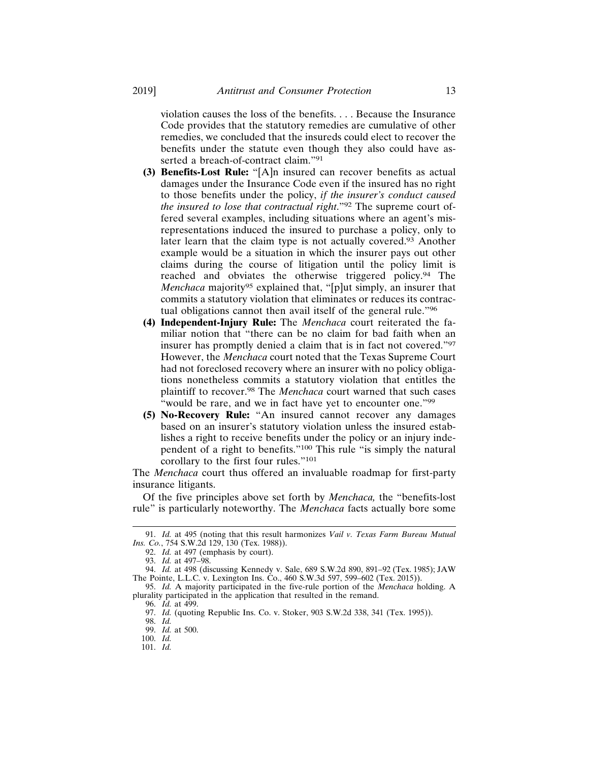violation causes the loss of the benefits. . . . Because the Insurance Code provides that the statutory remedies are cumulative of other remedies, we concluded that the insureds could elect to recover the benefits under the statute even though they also could have asserted a breach-of-contract claim."91

- **(3) Benefits-Lost Rule:** "[A]n insured can recover benefits as actual damages under the Insurance Code even if the insured has no right to those benefits under the policy, *if the insurer's conduct caused the insured to lose that contractual right*."92 The supreme court offered several examples, including situations where an agent's misrepresentations induced the insured to purchase a policy, only to later learn that the claim type is not actually covered.93 Another example would be a situation in which the insurer pays out other claims during the course of litigation until the policy limit is reached and obviates the otherwise triggered policy.94 The *Menchaca* majority<sup>95</sup> explained that, "[p]ut simply, an insurer that commits a statutory violation that eliminates or reduces its contractual obligations cannot then avail itself of the general rule."96
- **(4) Independent-Injury Rule:** The *Menchaca* court reiterated the familiar notion that "there can be no claim for bad faith when an insurer has promptly denied a claim that is in fact not covered."97 However, the *Menchaca* court noted that the Texas Supreme Court had not foreclosed recovery where an insurer with no policy obligations nonetheless commits a statutory violation that entitles the plaintiff to recover.98 The *Menchaca* court warned that such cases "would be rare, and we in fact have yet to encounter one."<sup>99</sup>
- **(5) No-Recovery Rule:** "An insured cannot recover any damages based on an insurer's statutory violation unless the insured establishes a right to receive benefits under the policy or an injury independent of a right to benefits."100 This rule "is simply the natural corollary to the first four rules."101

The *Menchaca* court thus offered an invaluable roadmap for first-party insurance litigants.

Of the five principles above set forth by *Menchaca,* the "benefits-lost rule" is particularly noteworthy. The *Menchaca* facts actually bore some

<sup>91.</sup> *Id.* at 495 (noting that this result harmonizes *Vail v. Texas Farm Bureau Mutual Ins. Co.*, 754 S.W.2d 129, 130 (Tex. 1988)).

<sup>92.</sup> *Id.* at 497 (emphasis by court).

<sup>93.</sup> *Id.* at 497–98.

<sup>94.</sup> *Id.* at 498 (discussing Kennedy v. Sale, 689 S.W.2d 890, 891–92 (Tex. 1985); JAW The Pointe, L.L.C. v. Lexington Ins. Co., 460 S.W.3d 597, 599–602 (Tex. 2015)).

<sup>95.</sup> *Id.* A majority participated in the five-rule portion of the *Menchaca* holding. A plurality participated in the application that resulted in the remand.

<sup>96.</sup> *Id.* at 499.

<sup>97.</sup> *Id.* (quoting Republic Ins. Co. v. Stoker, 903 S.W.2d 338, 341 (Tex. 1995)).

<sup>98.</sup> *Id.*

<sup>99.</sup> *Id.* at 500.

<sup>100.</sup> *Id.*

<sup>101.</sup> *Id.*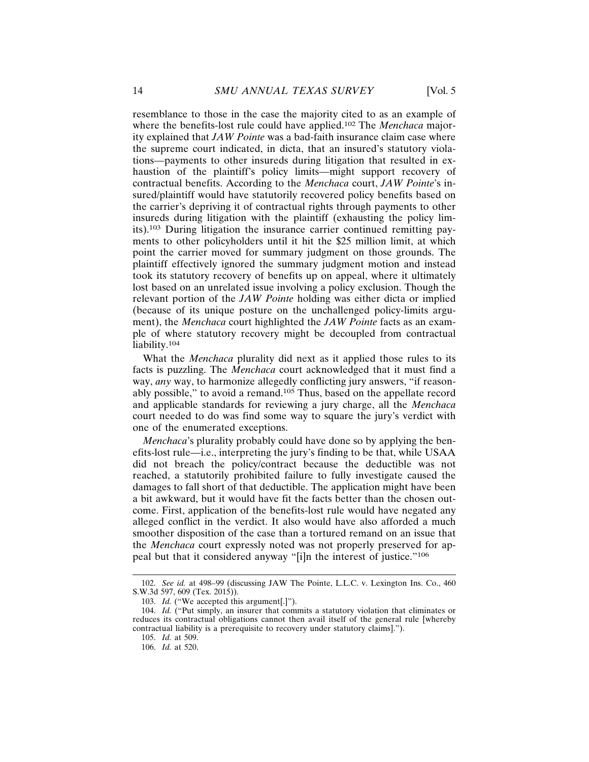resemblance to those in the case the majority cited to as an example of where the benefits-lost rule could have applied.102 The *Menchaca* majority explained that *JAW Pointe* was a bad-faith insurance claim case where the supreme court indicated, in dicta, that an insured's statutory violations—payments to other insureds during litigation that resulted in exhaustion of the plaintiff's policy limits—might support recovery of contractual benefits. According to the *Menchaca* court, *JAW Pointe*'s insured/plaintiff would have statutorily recovered policy benefits based on the carrier's depriving it of contractual rights through payments to other insureds during litigation with the plaintiff (exhausting the policy limits).103 During litigation the insurance carrier continued remitting payments to other policyholders until it hit the \$25 million limit, at which point the carrier moved for summary judgment on those grounds. The plaintiff effectively ignored the summary judgment motion and instead took its statutory recovery of benefits up on appeal, where it ultimately lost based on an unrelated issue involving a policy exclusion. Though the relevant portion of the *JAW Pointe* holding was either dicta or implied (because of its unique posture on the unchallenged policy-limits argument), the *Menchaca* court highlighted the *JAW Pointe* facts as an example of where statutory recovery might be decoupled from contractual liability.104

What the *Menchaca* plurality did next as it applied those rules to its facts is puzzling. The *Menchaca* court acknowledged that it must find a way, *any* way, to harmonize allegedly conflicting jury answers, "if reasonably possible," to avoid a remand.105 Thus, based on the appellate record and applicable standards for reviewing a jury charge, all the *Menchaca* court needed to do was find some way to square the jury's verdict with one of the enumerated exceptions.

*Menchaca*'s plurality probably could have done so by applying the benefits-lost rule—i.e., interpreting the jury's finding to be that, while USAA did not breach the policy/contract because the deductible was not reached, a statutorily prohibited failure to fully investigate caused the damages to fall short of that deductible. The application might have been a bit awkward, but it would have fit the facts better than the chosen outcome. First, application of the benefits-lost rule would have negated any alleged conflict in the verdict. It also would have also afforded a much smoother disposition of the case than a tortured remand on an issue that the *Menchaca* court expressly noted was not properly preserved for appeal but that it considered anyway "[i]n the interest of justice."106

<sup>102.</sup> *See id.* at 498–99 (discussing JAW The Pointe, L.L.C. v. Lexington Ins. Co., 460 S.W.3d 597, 609 (Tex. 2015)).

<sup>103.</sup> *Id.* ("We accepted this argument[.]").

<sup>104.</sup> *Id.* ("Put simply, an insurer that commits a statutory violation that eliminates or reduces its contractual obligations cannot then avail itself of the general rule [whereby contractual liability is a prerequisite to recovery under statutory claims].").

<sup>105.</sup> *Id.* at 509.

<sup>106.</sup> *Id.* at 520.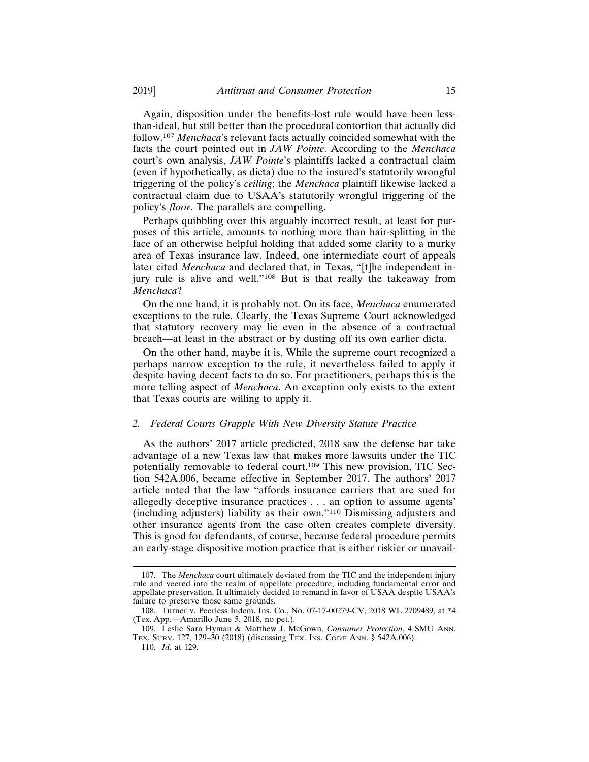Again, disposition under the benefits-lost rule would have been lessthan-ideal, but still better than the procedural contortion that actually did follow.107 *Menchaca*'s relevant facts actually coincided somewhat with the facts the court pointed out in *JAW Pointe*. According to the *Menchaca* court's own analysis, *JAW Pointe*'s plaintiffs lacked a contractual claim (even if hypothetically, as dicta) due to the insured's statutorily wrongful triggering of the policy's *ceiling*; the *Menchaca* plaintiff likewise lacked a contractual claim due to USAA's statutorily wrongful triggering of the policy's *floor*. The parallels are compelling.

Perhaps quibbling over this arguably incorrect result, at least for purposes of this article, amounts to nothing more than hair-splitting in the face of an otherwise helpful holding that added some clarity to a murky area of Texas insurance law. Indeed, one intermediate court of appeals later cited *Menchaca* and declared that, in Texas, "[t]he independent injury rule is alive and well."108 But is that really the takeaway from *Menchaca*?

On the one hand, it is probably not. On its face, *Menchaca* enumerated exceptions to the rule. Clearly, the Texas Supreme Court acknowledged that statutory recovery may lie even in the absence of a contractual breach—at least in the abstract or by dusting off its own earlier dicta.

On the other hand, maybe it is. While the supreme court recognized a perhaps narrow exception to the rule, it nevertheless failed to apply it despite having decent facts to do so. For practitioners, perhaps this is the more telling aspect of *Menchaca*. An exception only exists to the extent that Texas courts are willing to apply it.

## *2. Federal Courts Grapple With New Diversity Statute Practice*

As the authors' 2017 article predicted, 2018 saw the defense bar take advantage of a new Texas law that makes more lawsuits under the TIC potentially removable to federal court.109 This new provision, TIC Section 542A.006, became effective in September 2017. The authors' 2017 article noted that the law "affords insurance carriers that are sued for allegedly deceptive insurance practices . . . an option to assume agents' (including adjusters) liability as their own."110 Dismissing adjusters and other insurance agents from the case often creates complete diversity. This is good for defendants, of course, because federal procedure permits an early-stage dispositive motion practice that is either riskier or unavail-

<sup>107.</sup> The *Menchaca* court ultimately deviated from the TIC and the independent injury rule and veered into the realm of appellate procedure, including fundamental error and appellate preservation. It ultimately decided to remand in favor of USAA despite USAA's failure to preserve those same grounds.

<sup>108.</sup> Turner v. Peerless Indem. Ins. Co., No. 07-17-00279-CV, 2018 WL 2709489, at \*4 (Tex. App.—Amarillo June 5, 2018, no pet.).

<sup>109.</sup> Leslie Sara Hyman & Matthew J. McGown, *Consumer Protection*, 4 SMU ANN. TEX. SURV. 127, 129–30 (2018) (discussing TEX. INS. CODE ANN. § 542A.006).

<sup>110.</sup> *Id.* at 129.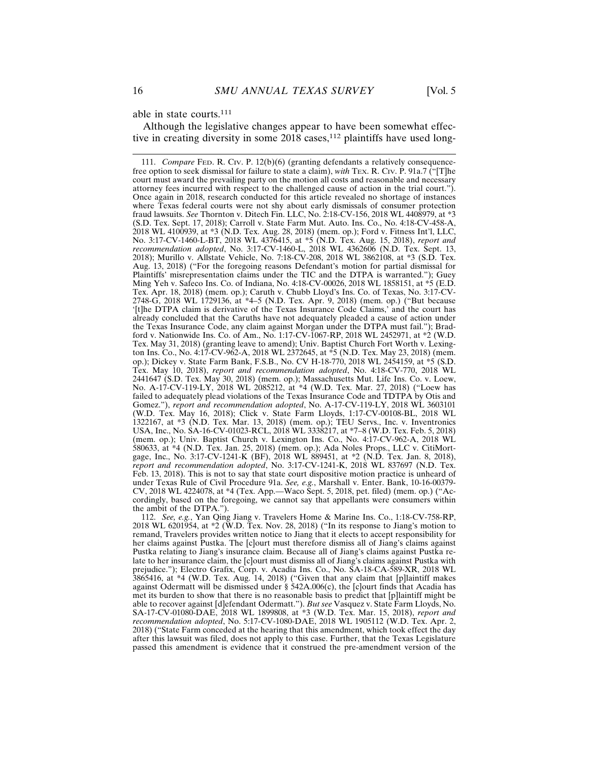able in state courts.111

Although the legislative changes appear to have been somewhat effective in creating diversity in some 2018 cases,<sup>112</sup> plaintiffs have used long-

112. *See, e.g.*, Yan Qing Jiang v. Travelers Home & Marine Ins. Co., 1:18-CV-758-RP, 2018 WL 6201954, at \*2 (W.D. Tex. Nov. 28, 2018) ("In its response to Jiang's motion to remand, Travelers provides written notice to Jiang that it elects to accept responsibility for her claims against Pustka. The [c]ourt must therefore dismiss all of Jiang's claims against Pustka relating to Jiang's insurance claim. Because all of Jiang's claims against Pustka relate to her insurance claim, the [c]ourt must dismiss all of Jiang's claims against Pustka with prejudice."); Electro Grafix, Corp. v. Acadia Ins. Co., No. SA-18-CA-589-XR, 2018 WL 3865416, at \*4 (W.D. Tex. Aug. 14, 2018) ("Given that any claim that [p]laintiff makes against Odermatt will be dismissed under § 542A.006(c), the [c]ourt finds that Acadia has met its burden to show that there is no reasonable basis to predict that [p]laintiff might be able to recover against [d]efendant Odermatt."). *But see* Vasquez v. State Farm Lloyds, No. SA-17-CV-01080-DAE, 2018 WL 1899808, at \*3 (W.D. Tex. Mar. 15, 2018), *report and recommendation adopted*, No. 5:17-CV-1080-DAE, 2018 WL 1905112 (W.D. Tex. Apr. 2, 2018) ("State Farm conceded at the hearing that this amendment, which took effect the day after this lawsuit was filed, does not apply to this case. Further, that the Texas Legislature passed this amendment is evidence that it construed the pre-amendment version of the

<sup>111.</sup> *Compare* FED. R. CIV. P. 12(b)(6) (granting defendants a relatively consequencefree option to seek dismissal for failure to state a claim), *with* TEX. R. CIV. P. 91a.7 ("[T]he court must award the prevailing party on the motion all costs and reasonable and necessary attorney fees incurred with respect to the challenged cause of action in the trial court."). Once again in 2018, research conducted for this article revealed no shortage of instances where Texas federal courts were not shy about early dismissals of consumer protection fraud lawsuits. *See* Thornton v. Ditech Fin. LLC, No. 2:18-CV-156, 2018 WL 4408979, at \*3 (S.D. Tex. Sept. 17, 2018); Carroll v. State Farm Mut. Auto. Ins. Co., No. 4:18-CV-458-A, 2018 WL 4100939, at \*3 (N.D. Tex. Aug. 28, 2018) (mem. op.); Ford v. Fitness Int'l, LLC, No. 3:17-CV-1460-L-BT, 2018 WL 4376415, at \*5 (N.D. Tex. Aug. 15, 2018), *report and recommendation adopted*, No. 3:17-CV-1460-L, 2018 WL 4362606 (N.D. Tex. Sept. 13, 2018); Murillo v. Allstate Vehicle, No. 7:18-CV-208, 2018 WL 3862108, at \*3 (S.D. Tex. Aug. 13, 2018) ("For the foregoing reasons Defendant's motion for partial dismissal for Plaintiffs' misrepresentation claims under the TIC and the DTPA is warranted."); Guey Ming Yeh v. Safeco Ins. Co. of Indiana, No. 4:18-CV-00026, 2018 WL 1858151, at \*5 (E.D. Tex. Apr. 18, 2018) (mem. op.); Caruth v. Chubb Lloyd's Ins. Co. of Texas, No. 3:17-CV-2748-G, 2018 WL 1729136, at \*4–5 (N.D. Tex. Apr. 9, 2018) (mem. op.) ("But because '[t]he DTPA claim is derivative of the Texas Insurance Code Claims,' and the court has already concluded that the Caruths have not adequately pleaded a cause of action under the Texas Insurance Code, any claim against Morgan under the DTPA must fail."); Bradford v. Nationwide Ins. Co. of Am., No. 1:17-CV-1067-RP, 2018 WL 2452971, at \*2 (W.D. Tex. May 31, 2018) (granting leave to amend); Univ. Baptist Church Fort Worth v. Lexington Ins. Co., No. 4:17-CV-962-A, 2018 WL 2372645, at \*5 (N.D. Tex. May 23, 2018) (mem. op.); Dickey v. State Farm Bank, F.S.B., No. CV H-18-770, 2018 WL 2454159, at \*5 (S.D. Tex. May 10, 2018), *report and recommendation adopted*, No. 4:18-CV-770, 2018 WL 2441647 (S.D. Tex. May 30, 2018) (mem. op.); Massachusetts Mut. Life Ins. Co. v. Loew, No. A-17-CV-119-LY, 2018 WL 2085212, at \*4 (W.D. Tex. Mar. 27, 2018) ("Loew has failed to adequately plead violations of the Texas Insurance Code and TDTPA by Otis and Gomez."), *report and recommendation adopted*, No. A-17-CV-119-LY, 2018 WL 3603101 (W.D. Tex. May 16, 2018); Click v. State Farm Lloyds, 1:17-CV-00108-BL, 2018 WL 1322167, at \*3 (N.D. Tex. Mar. 13, 2018) (mem. op.); TEU Servs., Inc. v. Inventronics USA, Inc., No. SA-16-CV-01023-RCL, 2018 WL 3338217, at \*7–8 (W.D. Tex. Feb. 5, 2018) (mem. op.); Univ. Baptist Church v. Lexington Ins. Co., No. 4:17-CV-962-A, 2018 WL 580633, at \*4 (N.D. Tex. Jan. 25, 2018) (mem. op.); Ada Noles Props., LLC v. CitiMortgage, Inc., No. 3:17-CV-1241-K (BF), 2018 WL 889451, at \*2 (N.D. Tex. Jan. 8, 2018), *report and recommendation adopted*, No. 3:17-CV-1241-K, 2018 WL 837697 (N.D. Tex. Feb. 13, 2018). This is not to say that state court dispositive motion practice is unheard of under Texas Rule of Civil Procedure 91a. *See, e.g.*, Marshall v. Enter. Bank, 10-16-00379- CV, 2018 WL 4224078, at \*4 (Tex. App.—Waco Sept. 5, 2018, pet. filed) (mem. op.) ("Accordingly, based on the foregoing, we cannot say that appellants were consumers within the ambit of the DTPA.").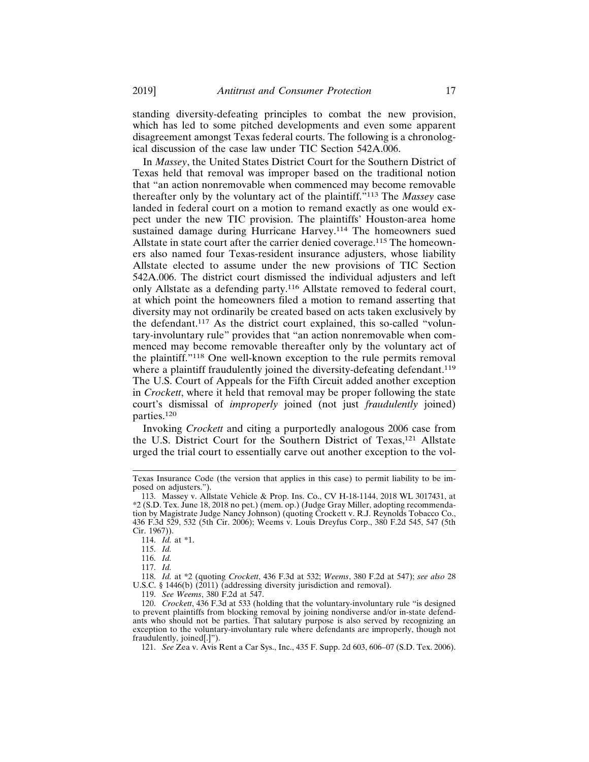standing diversity-defeating principles to combat the new provision, which has led to some pitched developments and even some apparent disagreement amongst Texas federal courts. The following is a chronological discussion of the case law under TIC Section 542A.006.

In *Massey*, the United States District Court for the Southern District of Texas held that removal was improper based on the traditional notion that "an action nonremovable when commenced may become removable thereafter only by the voluntary act of the plaintiff."113 The *Massey* case landed in federal court on a motion to remand exactly as one would expect under the new TIC provision. The plaintiffs' Houston-area home sustained damage during Hurricane Harvey.<sup>114</sup> The homeowners sued Allstate in state court after the carrier denied coverage.115 The homeowners also named four Texas-resident insurance adjusters, whose liability Allstate elected to assume under the new provisions of TIC Section 542A.006. The district court dismissed the individual adjusters and left only Allstate as a defending party.116 Allstate removed to federal court, at which point the homeowners filed a motion to remand asserting that diversity may not ordinarily be created based on acts taken exclusively by the defendant.117 As the district court explained, this so-called "voluntary-involuntary rule" provides that "an action nonremovable when commenced may become removable thereafter only by the voluntary act of the plaintiff."118 One well-known exception to the rule permits removal where a plaintiff fraudulently joined the diversity-defeating defendant.<sup>119</sup> The U.S. Court of Appeals for the Fifth Circuit added another exception in *Crockett*, where it held that removal may be proper following the state court's dismissal of *improperly* joined (not just *fraudulently* joined) parties.<sup>120</sup>

Invoking *Crockett* and citing a purportedly analogous 2006 case from the U.S. District Court for the Southern District of Texas,121 Allstate urged the trial court to essentially carve out another exception to the vol-

119. *See Weems*, 380 F.2d at 547.

Texas Insurance Code (the version that applies in this case) to permit liability to be imposed on adjusters.").

<sup>113.</sup> Massey v. Allstate Vehicle & Prop. Ins. Co., CV H-18-1144, 2018 WL 3017431, at \*2 (S.D. Tex. June 18, 2018 no pet.) (mem. op.) (Judge Gray Miller, adopting recommendation by Magistrate Judge Nancy Johnson) (quoting Crockett v. R.J. Reynolds Tobacco Co., 436 F.3d 529, 532 (5th Cir. 2006); Weems v. Louis Dreyfus Corp., 380 F.2d 545, 547 (5th Cir. 1967)).

<sup>114.</sup> *Id.* at \*1.

<sup>115.</sup> *Id.*

<sup>116.</sup> *Id.*

<sup>117.</sup> *Id.*

<sup>118.</sup> *Id.* at \*2 (quoting *Crockett*, 436 F.3d at 532; *Weems*, 380 F.2d at 547); *see also* 28 U.S.C. § 1446(b) (2011) (addressing diversity jurisdiction and removal).

<sup>120.</sup> *Crockett*, 436 F.3d at 533 (holding that the voluntary-involuntary rule "is designed to prevent plaintiffs from blocking removal by joining nondiverse and/or in-state defendants who should not be parties. That salutary purpose is also served by recognizing an exception to the voluntary-involuntary rule where defendants are improperly, though not fraudulently, joined[.]").

<sup>121.</sup> *See* Zea v. Avis Rent a Car Sys., Inc., 435 F. Supp. 2d 603, 606–07 (S.D. Tex. 2006).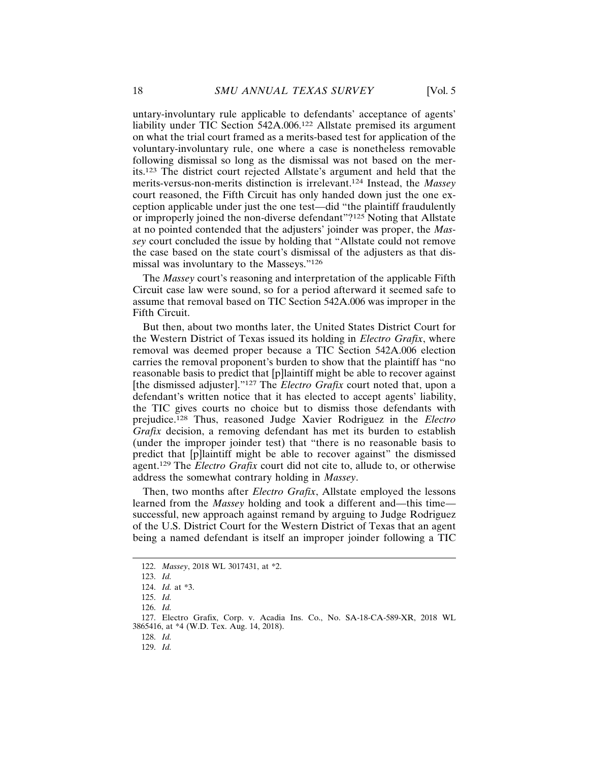untary-involuntary rule applicable to defendants' acceptance of agents' liability under TIC Section 542A.006.122 Allstate premised its argument on what the trial court framed as a merits-based test for application of the voluntary-involuntary rule, one where a case is nonetheless removable following dismissal so long as the dismissal was not based on the merits.123 The district court rejected Allstate's argument and held that the merits-versus-non-merits distinction is irrelevant.124 Instead, the *Massey* court reasoned, the Fifth Circuit has only handed down just the one exception applicable under just the one test—did "the plaintiff fraudulently or improperly joined the non-diverse defendant"?125 Noting that Allstate at no pointed contended that the adjusters' joinder was proper, the *Massey* court concluded the issue by holding that "Allstate could not remove the case based on the state court's dismissal of the adjusters as that dismissal was involuntary to the Masseys."126

The *Massey* court's reasoning and interpretation of the applicable Fifth Circuit case law were sound, so for a period afterward it seemed safe to assume that removal based on TIC Section 542A.006 was improper in the Fifth Circuit.

But then, about two months later, the United States District Court for the Western District of Texas issued its holding in *Electro Grafix*, where removal was deemed proper because a TIC Section 542A.006 election carries the removal proponent's burden to show that the plaintiff has "no reasonable basis to predict that [p]laintiff might be able to recover against [the dismissed adjuster]."127 The *Electro Grafix* court noted that, upon a defendant's written notice that it has elected to accept agents' liability, the TIC gives courts no choice but to dismiss those defendants with prejudice.128 Thus, reasoned Judge Xavier Rodriguez in the *Electro Grafix* decision, a removing defendant has met its burden to establish (under the improper joinder test) that "there is no reasonable basis to predict that [p]laintiff might be able to recover against" the dismissed agent.129 The *Electro Grafix* court did not cite to, allude to, or otherwise address the somewhat contrary holding in *Massey*.

Then, two months after *Electro Grafix*, Allstate employed the lessons learned from the *Massey* holding and took a different and—this time successful, new approach against remand by arguing to Judge Rodriguez of the U.S. District Court for the Western District of Texas that an agent being a named defendant is itself an improper joinder following a TIC

<sup>122.</sup> *Massey*, 2018 WL 3017431, at \*2.

<sup>123.</sup> *Id.*

<sup>124.</sup> *Id.* at \*3.

<sup>125.</sup> *Id.*

<sup>126.</sup> *Id.*

<sup>127.</sup> Electro Grafix, Corp. v. Acadia Ins. Co., No. SA-18-CA-589-XR, 2018 WL 3865416, at \*4 (W.D. Tex. Aug. 14, 2018).

<sup>128.</sup> *Id.*

<sup>129.</sup> *Id.*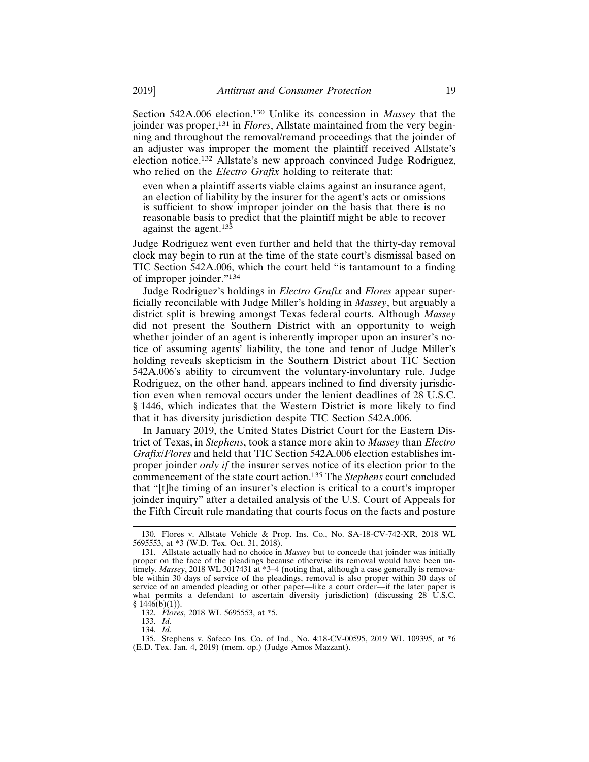Section 542A.006 election.130 Unlike its concession in *Massey* that the joinder was proper,<sup>131</sup> in *Flores*, Allstate maintained from the very beginning and throughout the removal/remand proceedings that the joinder of an adjuster was improper the moment the plaintiff received Allstate's election notice.132 Allstate's new approach convinced Judge Rodriguez, who relied on the *Electro Grafix* holding to reiterate that:

even when a plaintiff asserts viable claims against an insurance agent, an election of liability by the insurer for the agent's acts or omissions is sufficient to show improper joinder on the basis that there is no reasonable basis to predict that the plaintiff might be able to recover against the agent.<sup>133</sup>

Judge Rodriguez went even further and held that the thirty-day removal clock may begin to run at the time of the state court's dismissal based on TIC Section 542A.006, which the court held "is tantamount to a finding of improper joinder."134

Judge Rodriguez's holdings in *Electro Grafix* and *Flores* appear superficially reconcilable with Judge Miller's holding in *Massey*, but arguably a district split is brewing amongst Texas federal courts. Although *Massey* did not present the Southern District with an opportunity to weigh whether joinder of an agent is inherently improper upon an insurer's notice of assuming agents' liability, the tone and tenor of Judge Miller's holding reveals skepticism in the Southern District about TIC Section 542A.006's ability to circumvent the voluntary-involuntary rule. Judge Rodriguez, on the other hand, appears inclined to find diversity jurisdiction even when removal occurs under the lenient deadlines of 28 U.S.C. § 1446, which indicates that the Western District is more likely to find that it has diversity jurisdiction despite TIC Section 542A.006.

In January 2019, the United States District Court for the Eastern District of Texas, in *Stephens*, took a stance more akin to *Massey* than *Electro Grafix*/*Flores* and held that TIC Section 542A.006 election establishes improper joinder *only if* the insurer serves notice of its election prior to the commencement of the state court action.135 The *Stephens* court concluded that "[t]he timing of an insurer's election is critical to a court's improper joinder inquiry" after a detailed analysis of the U.S. Court of Appeals for the Fifth Circuit rule mandating that courts focus on the facts and posture

133. *Id.*

134. *Id.*

<sup>130.</sup> Flores v. Allstate Vehicle & Prop. Ins. Co., No. SA-18-CV-742-XR, 2018 WL 5695553, at \*3 (W.D. Tex. Oct. 31, 2018).

<sup>131.</sup> Allstate actually had no choice in *Massey* but to concede that joinder was initially proper on the face of the pleadings because otherwise its removal would have been untimely. *Massey*, 2018 WL 3017431 at \*3–4 (noting that, although a case generally is removable within 30 days of service of the pleadings, removal is also proper within 30 days of service of an amended pleading or other paper—like a court order—if the later paper is what permits a defendant to ascertain diversity jurisdiction) (discussing  $28\text{ U.S.C.}$  $§ 1446(b)(1)).$ 

<sup>132.</sup> *Flores*, 2018 WL 5695553, at \*5.

<sup>135.</sup> Stephens v. Safeco Ins. Co. of Ind., No. 4:18-CV-00595, 2019 WL 109395, at \*6 (E.D. Tex. Jan. 4, 2019) (mem. op.) (Judge Amos Mazzant).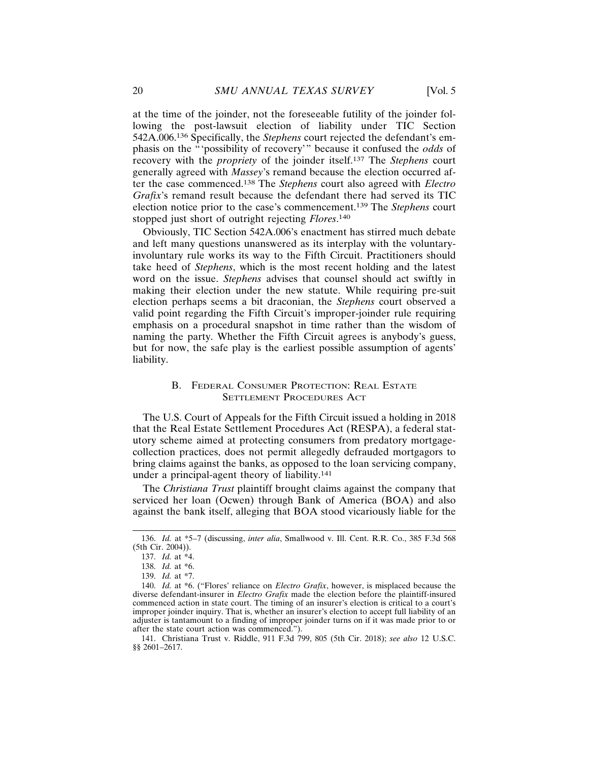at the time of the joinder, not the foreseeable futility of the joinder following the post-lawsuit election of liability under TIC Section 542A.006.136 Specifically, the *Stephens* court rejected the defendant's emphasis on the "'possibility of recovery'" because it confused the *odds* of recovery with the *propriety* of the joinder itself.137 The *Stephens* court generally agreed with *Massey*'s remand because the election occurred after the case commenced.138 The *Stephens* court also agreed with *Electro Grafix*'s remand result because the defendant there had served its TIC election notice prior to the case's commencement.139 The *Stephens* court stopped just short of outright rejecting *Flores*. 140

Obviously, TIC Section 542A.006's enactment has stirred much debate and left many questions unanswered as its interplay with the voluntaryinvoluntary rule works its way to the Fifth Circuit. Practitioners should take heed of *Stephens*, which is the most recent holding and the latest word on the issue. *Stephens* advises that counsel should act swiftly in making their election under the new statute. While requiring pre-suit election perhaps seems a bit draconian, the *Stephens* court observed a valid point regarding the Fifth Circuit's improper-joinder rule requiring emphasis on a procedural snapshot in time rather than the wisdom of naming the party. Whether the Fifth Circuit agrees is anybody's guess, but for now, the safe play is the earliest possible assumption of agents' liability.

# B. FEDERAL CONSUMER PROTECTION: REAL ESTATE SETTLEMENT PROCEDURES ACT

The U.S. Court of Appeals for the Fifth Circuit issued a holding in 2018 that the Real Estate Settlement Procedures Act (RESPA), a federal statutory scheme aimed at protecting consumers from predatory mortgagecollection practices, does not permit allegedly defrauded mortgagors to bring claims against the banks, as opposed to the loan servicing company, under a principal-agent theory of liability.141

The *Christiana Trust* plaintiff brought claims against the company that serviced her loan (Ocwen) through Bank of America (BOA) and also against the bank itself, alleging that BOA stood vicariously liable for the

141. Christiana Trust v. Riddle, 911 F.3d 799, 805 (5th Cir. 2018); *see also* 12 U.S.C. §§ 2601–2617.

<sup>136.</sup> *Id.* at \*5–7 (discussing, *inter alia*, Smallwood v. Ill. Cent. R.R. Co., 385 F.3d 568 (5th Cir. 2004)).

<sup>137.</sup> *Id.* at \*4.

<sup>138.</sup> *Id.* at \*6.

<sup>139.</sup> *Id.* at \*7.

<sup>140.</sup> *Id.* at \*6. ("Flores' reliance on *Electro Grafix*, however, is misplaced because the diverse defendant-insurer in *Electro Grafix* made the election before the plaintiff-insured commenced action in state court. The timing of an insurer's election is critical to a court's improper joinder inquiry. That is, whether an insurer's election to accept full liability of an adjuster is tantamount to a finding of improper joinder turns on if it was made prior to or after the state court action was commenced.").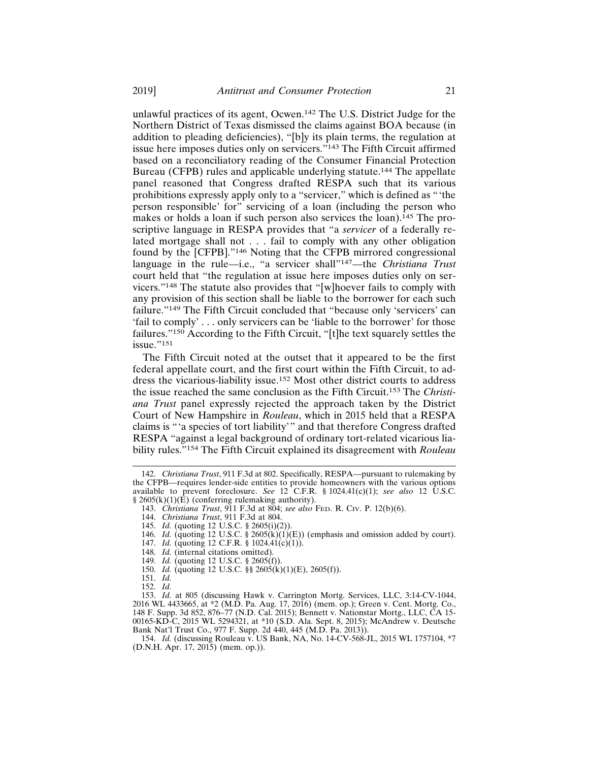unlawful practices of its agent, Ocwen.142 The U.S. District Judge for the Northern District of Texas dismissed the claims against BOA because (in addition to pleading deficiencies), "[b]y its plain terms, the regulation at issue here imposes duties only on servicers."143 The Fifth Circuit affirmed based on a reconciliatory reading of the Consumer Financial Protection Bureau (CFPB) rules and applicable underlying statute.144 The appellate panel reasoned that Congress drafted RESPA such that its various prohibitions expressly apply only to a "servicer," which is defined as "'the person responsible' for" servicing of a loan (including the person who makes or holds a loan if such person also services the loan).<sup>145</sup> The proscriptive language in RESPA provides that "a *servicer* of a federally related mortgage shall not . . . fail to comply with any other obligation found by the [CFPB]."146 Noting that the CFPB mirrored congressional language in the rule—i.e., "a servicer shall"147—the *Christiana Trust* court held that "the regulation at issue here imposes duties only on servicers."148 The statute also provides that "[w]hoever fails to comply with any provision of this section shall be liable to the borrower for each such failure."149 The Fifth Circuit concluded that "because only 'servicers' can 'fail to comply' . . . only servicers can be 'liable to the borrower' for those failures."150 According to the Fifth Circuit, "[t]he text squarely settles the issue."<sup>151</sup>

The Fifth Circuit noted at the outset that it appeared to be the first federal appellate court, and the first court within the Fifth Circuit, to address the vicarious-liability issue.152 Most other district courts to address the issue reached the same conclusion as the Fifth Circuit.153 The *Christiana Trust* panel expressly rejected the approach taken by the District Court of New Hampshire in *Rouleau*, which in 2015 held that a RESPA claims is "'a species of tort liability'" and that therefore Congress drafted RESPA "against a legal background of ordinary tort-related vicarious liability rules."154 The Fifth Circuit explained its disagreement with *Rouleau*

- 143. *Christiana Trust*, 911 F.3d at 804; *see also* FED. R. CIV. P. 12(b)(6).
- 144. *Christiana Trust*, 911 F.3d at 804.

<sup>142.</sup> *Christiana Trust*, 911 F.3d at 802. Specifically, RESPA—pursuant to rulemaking by the CFPB—requires lender-side entities to provide homeowners with the various options available to prevent foreclosure. *See* 12 C.F.R. § 1024.41(c)(1); *see also* 12 U.S.C. § 2605(k)(1)( $\hat{E}$ ) (conferring rulemaking authority).

<sup>145.</sup> *Id.* (quoting 12 U.S.C. § 2605(i)(2)).

<sup>146.</sup> *Id.* (quoting 12 U.S.C. § 2605(k)(1)(E)) (emphasis and omission added by court).

<sup>147.</sup> *Id.* (quoting 12 C.F.R. § 1024.41(c)(1)).

<sup>148.</sup> *Id.* (internal citations omitted).

<sup>149.</sup> *Id.* (quoting 12 U.S.C. § 2605(f)).

<sup>150.</sup> *Id.* (quoting 12 U.S.C. §§ 2605(k)(1)(E), 2605(f)).

<sup>151.</sup> *Id.*

<sup>152.</sup> *Id.*

<sup>153.</sup> *Id.* at 805 (discussing Hawk v. Carrington Mortg. Services, LLC, 3:14-CV-1044, 2016 WL 4433665, at \*2 (M.D. Pa. Aug. 17, 2016) (mem. op.); Green v. Cent. Mortg. Co., 148 F. Supp. 3d 852, 876–77 (N.D. Cal. 2015); Bennett v. Nationstar Mortg., LLC, CA 15- 00165-KD-C, 2015 WL 5294321, at \*10 (S.D. Ala. Sept. 8, 2015); McAndrew v. Deutsche Bank Nat'l Trust Co., 977 F. Supp. 2d 440, 445 (M.D. Pa. 2013)).

<sup>154.</sup> *Id.* (discussing Rouleau v. US Bank, NA, No. 14-CV-568-JL, 2015 WL 1757104, \*7 (D.N.H. Apr. 17, 2015) (mem. op.)).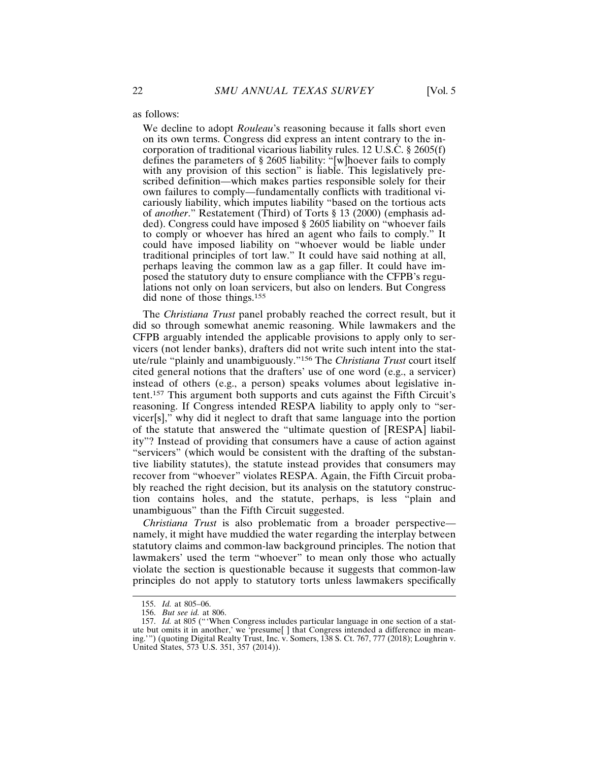as follows:

We decline to adopt *Rouleau*'s reasoning because it falls short even on its own terms. Congress did express an intent contrary to the incorporation of traditional vicarious liability rules. 12 U.S.C. § 2605(f) defines the parameters of § 2605 liability: "[w]hoever fails to comply with any provision of this section" is liable. This legislatively prescribed definition—which makes parties responsible solely for their own failures to comply—fundamentally conflicts with traditional vicariously liability, which imputes liability "based on the tortious acts of *another*." Restatement (Third) of Torts § 13 (2000) (emphasis added). Congress could have imposed § 2605 liability on "whoever fails to comply or whoever has hired an agent who fails to comply." It could have imposed liability on "whoever would be liable under traditional principles of tort law." It could have said nothing at all, perhaps leaving the common law as a gap filler. It could have imposed the statutory duty to ensure compliance with the CFPB's regulations not only on loan servicers, but also on lenders. But Congress did none of those things.155

The *Christiana Trust* panel probably reached the correct result, but it did so through somewhat anemic reasoning. While lawmakers and the CFPB arguably intended the applicable provisions to apply only to servicers (not lender banks), drafters did not write such intent into the statute/rule "plainly and unambiguously."156 The *Christiana Trust* court itself cited general notions that the drafters' use of one word (e.g., a servicer) instead of others (e.g., a person) speaks volumes about legislative intent.157 This argument both supports and cuts against the Fifth Circuit's reasoning. If Congress intended RESPA liability to apply only to "servicer[s]," why did it neglect to draft that same language into the portion of the statute that answered the "ultimate question of [RESPA] liability"? Instead of providing that consumers have a cause of action against "servicers" (which would be consistent with the drafting of the substantive liability statutes), the statute instead provides that consumers may recover from "whoever" violates RESPA. Again, the Fifth Circuit probably reached the right decision, but its analysis on the statutory construction contains holes, and the statute, perhaps, is less "plain and unambiguous" than the Fifth Circuit suggested.

*Christiana Trust* is also problematic from a broader perspective namely, it might have muddied the water regarding the interplay between statutory claims and common-law background principles. The notion that lawmakers' used the term "whoever" to mean only those who actually violate the section is questionable because it suggests that common-law principles do not apply to statutory torts unless lawmakers specifically

<sup>155.</sup> *Id.* at 805–06.

<sup>156.</sup> *But see id.* at 806.

<sup>157.</sup> *Id.* at 805 ("'When Congress includes particular language in one section of a statute but omits it in another,' we 'presume[ ] that Congress intended a difference in meaning.'") (quoting Digital Realty Trust, Inc. v. Somers, 138 S. Ct. 767, 777 (2018); Loughrin v. United States, 573 U.S. 351, 357 (2014)).